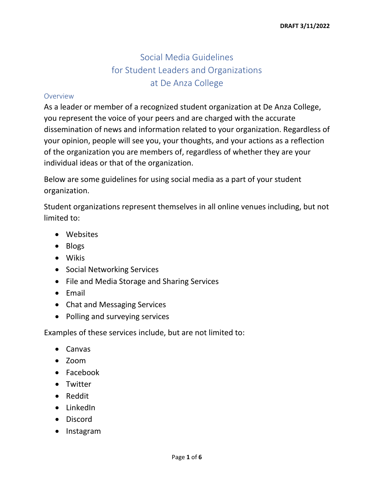# Social Media Guidelines for Student Leaders and Organizations at De Anza College

#### Overview

As a leader or member of a recognized student organization at De Anza College, you represent the voice of your peers and are charged with the accurate dissemination of news and information related to your organization. Regardless of your opinion, people will see you, your thoughts, and your actions as a reflection of the organization you are members of, regardless of whether they are your individual ideas or that of the organization.

Below are some guidelines for using social media as a part of your student organization.

Student organizations represent themselves in all online venues including, but not limited to:

- Websites
- Blogs
- Wikis
- Social Networking Services
- File and Media Storage and Sharing Services
- Email
- Chat and Messaging Services
- Polling and surveying services

Examples of these services include, but are not limited to:

- Canvas
- Zoom
- Facebook
- Twitter
- Reddit
- LinkedIn
- Discord
- Instagram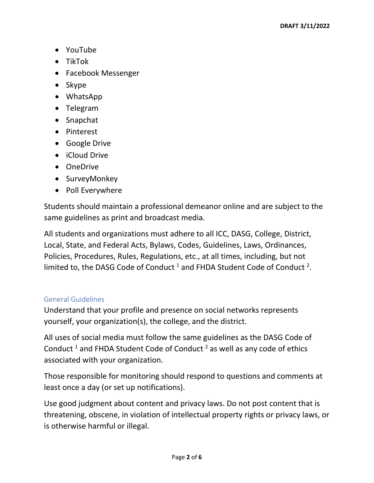- YouTube
- TikTok
- Facebook Messenger
- Skype
- WhatsApp
- Telegram
- Snapchat
- Pinterest
- Google Drive
- iCloud Drive
- OneDrive
- SurveyMonkey
- Poll Everywhere

Students should maintain a professional demeanor online and are subject to the same guidelines as print and broadcast media.

All students and organizations must adhere to all ICC, DASG, College, District, Local, State, and Federal Acts, Bylaws, Codes, Guidelines, Laws, Ordinances, Policies, Procedures, Rules, Regulations, etc., at all times, including, but not limited to, the DASG Code of Conduct  $^1$  and FHDA Student Code of Conduct  $^2$ .

### General Guidelines

Understand that your profile and presence on social networks represents yourself, your organization(s), the college, and the district.

All uses of social media must follow the same guidelines as the DASG Code of Conduct  $1$  and FHDA Student Code of Conduct  $2$  as well as any code of ethics associated with your organization.

Those responsible for monitoring should respond to questions and comments at least once a day (or set up notifications).

Use good judgment about content and privacy laws. Do not post content that is threatening, obscene, in violation of intellectual property rights or privacy laws, or is otherwise harmful or illegal.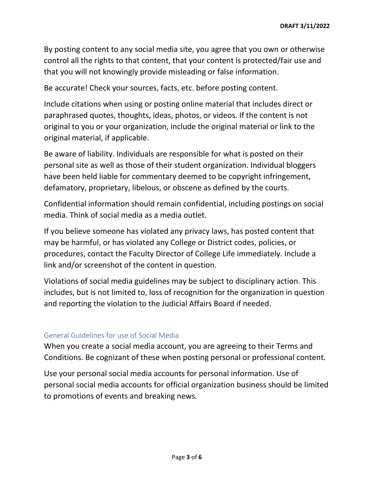By posting content to any social media site, you agree that you own or otherwise control all the rights to that content, that your content is protected/fair use and that you will not knowingly provide misleading or false information.

Be accurate! Check your sources, facts, etc. before posting content.

Include citations when using or posting online material that includes direct or paraphrased quotes, thoughts, ideas, photos, or videos. If the content is not original to you or your organization, include the original material or link to the original material, if applicable.

Be aware of liability. Individuals are responsible for what is posted on their personal site as well as those of their student organization. Individual bloggers have been held liable for commentary deemed to be copyright infringement, defamatory, proprietary, libelous, or obscene as defined by the courts.

Confidential information should remain confidential, including postings on social media. Think of social media as a media outlet.

If you believe someone has violated any privacy laws, has posted content that may be harmful, or has violated any College or District codes, policies, or procedures, contact the Faculty Director of College Life immediately. Include a link and/or screenshot of the content in question.

Violations of social media guidelines may be subject to disciplinary action. This includes, but is not limited to, loss of recognition for the organization in question and reporting the violation to the Judicial Affairs Board if needed.

### General Guidelines for use of Social Media

When you create a social media account, you are agreeing to their Terms and Conditions. Be cognizant of these when posting personal or professional content.

Use your personal social media accounts for personal information. Use of personal social media accounts for official organization business should be limited to promotions of events and breaking news.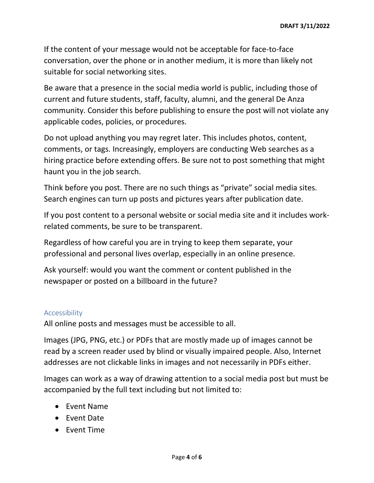If the content of your message would not be acceptable for face-to-face conversation, over the phone or in another medium, it is more than likely not suitable for social networking sites.

Be aware that a presence in the social media world is public, including those of current and future students, staff, faculty, alumni, and the general De Anza community. Consider this before publishing to ensure the post will not violate any applicable codes, policies, or procedures.

Do not upload anything you may regret later. This includes photos, content, comments, or tags. Increasingly, employers are conducting Web searches as a hiring practice before extending offers. Be sure not to post something that might haunt you in the job search.

Think before you post. There are no such things as "private" social media sites. Search engines can turn up posts and pictures years after publication date.

If you post content to a personal website or social media site and it includes workrelated comments, be sure to be transparent.

Regardless of how careful you are in trying to keep them separate, your professional and personal lives overlap, especially in an online presence.

Ask yourself: would you want the comment or content published in the newspaper or posted on a billboard in the future?

### Accessibility

All online posts and messages must be accessible to all.

Images (JPG, PNG, etc.) or PDFs that are mostly made up of images cannot be read by a screen reader used by blind or visually impaired people. Also, Internet addresses are not clickable links in images and not necessarily in PDFs either.

Images can work as a way of drawing attention to a social media post but must be accompanied by the full text including but not limited to:

- Event Name
- Event Date
- Event Time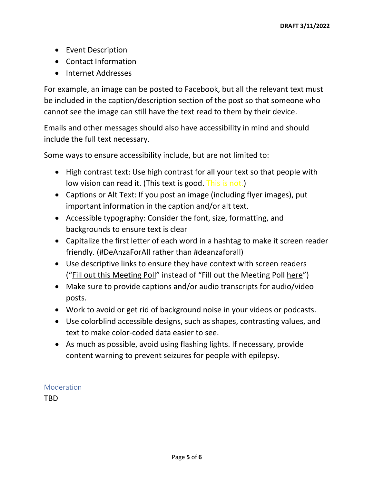- Event Description
- Contact Information
- Internet Addresses

For example, an image can be posted to Facebook, but all the relevant text must be included in the caption/description section of the post so that someone who cannot see the image can still have the text read to them by their device.

Emails and other messages should also have accessibility in mind and should include the full text necessary.

Some ways to ensure accessibility include, but are not limited to:

- High contrast text: Use high contrast for all your text so that people with low vision can read it. (This text is good. This is not.)
- Captions or Alt Text: If you post an image (including flyer images), put important information in the caption and/or alt text.
- Accessible typography: Consider the font, size, formatting, and backgrounds to ensure text is clear
- Capitalize the first letter of each word in a hashtag to make it screen reader friendly. (#DeAnzaForAll rather than #deanzaforall)
- Use descriptive links to ensure they have context with screen readers ("Fill out this Meeting Poll" instead of "Fill out the Meeting Poll here")
- Make sure to provide captions and/or audio transcripts for audio/video posts.
- Work to avoid or get rid of background noise in your videos or podcasts.
- Use colorblind accessible designs, such as shapes, contrasting values, and text to make color-coded data easier to see.
- As much as possible, avoid using flashing lights. If necessary, provide content warning to prevent seizures for people with epilepsy.

## Moderation

TBD